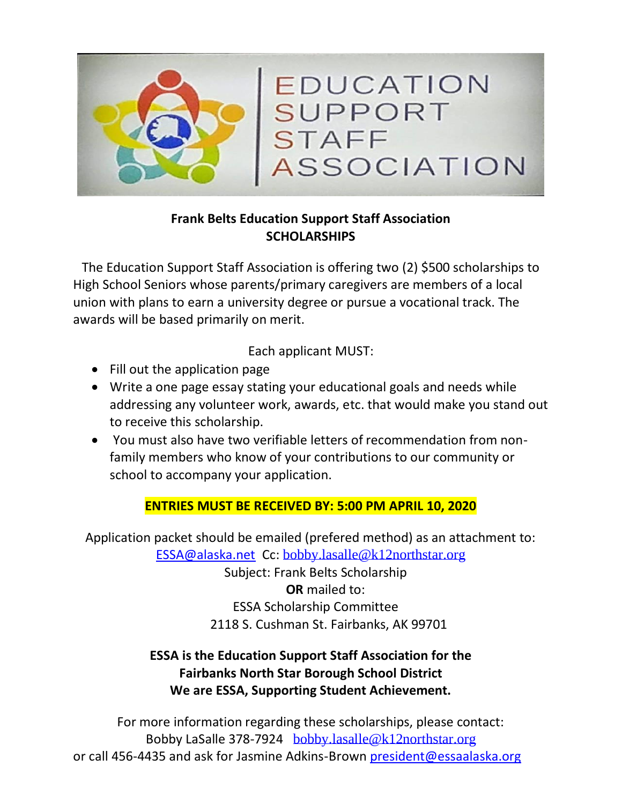

### **Frank Belts Education Support Staff Association SCHOLARSHIPS**

The Education Support Staff Association is offering two (2) \$500 scholarships to High School Seniors whose parents/primary caregivers are members of a local union with plans to earn a university degree or pursue a vocational track. The awards will be based primarily on merit.

Each applicant MUST:

- Fill out the application page
- Write a one page essay stating your educational goals and needs while addressing any volunteer work, awards, etc. that would make you stand out to receive this scholarship.
- You must also have two verifiable letters of recommendation from nonfamily members who know of your contributions to our community or school to accompany your application.

#### **ENTRIES MUST BE RECEIVED BY: 5:00 PM APRIL 10, 2020**

Application packet should be emailed (prefered method) as an attachment to:

[ESSA@alaska.net](mailto:ESSA@alaska.net) Cc: [bobby.lasalle@k12northstar.org](mailto:bobby.lasalle@k12northstar.org)

Subject: Frank Belts Scholarship  **OR** mailed to: ESSA Scholarship Committee 2118 S. Cushman St. Fairbanks, AK 99701

## **ESSA is the Education Support Staff Association for the Fairbanks North Star Borough School District We are ESSA, Supporting Student Achievement.**

For more information regarding these scholarships, please contact: Bobby LaSalle 378-7924 [bobby.lasalle@k12northstar.org](mailto:bobby.lasalle@k12northstar.org) or call 456-4435 and ask for Jasmine Adkins-Brown [president@essaalaska.org](mailto:president@essaalaska.org)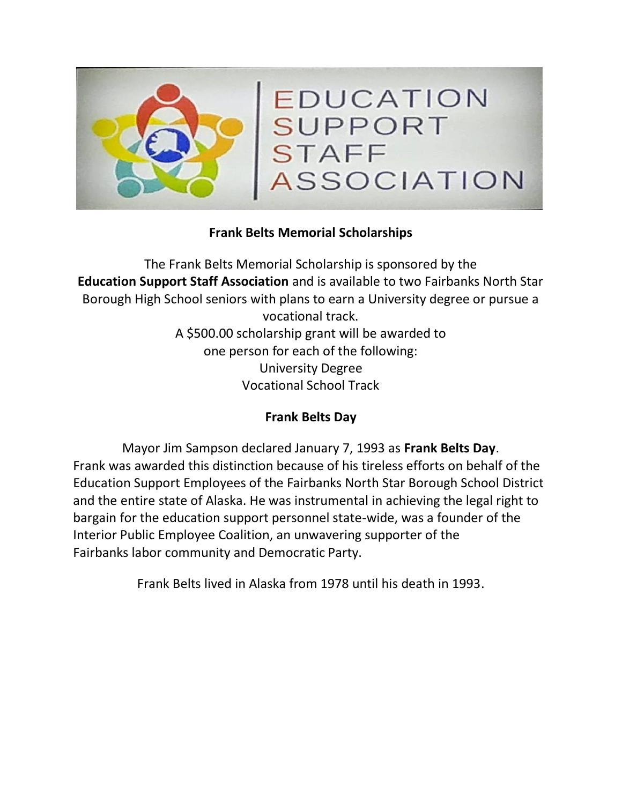

#### **Frank Belts Memorial Scholarships**

The Frank Belts Memorial Scholarship is sponsored by the **Education Support Staff Association** and is available to two Fairbanks North Star Borough High School seniors with plans to earn a University degree or pursue a vocational track. A \$500.00 scholarship grant will be awarded to one person for each of the following: University Degree Vocational School Track

#### **Frank Belts Day**

Mayor Jim Sampson declared January 7, 1993 as **Frank Belts Day**. Frank was awarded this distinction because of his tireless efforts on behalf of the Education Support Employees of the Fairbanks North Star Borough School District and the entire state of Alaska. He was instrumental in achieving the legal right to bargain for the education support personnel state-wide, was a founder of the Interior Public Employee Coalition, an unwavering supporter of the Fairbanks labor community and Democratic Party.

Frank Belts lived in Alaska from 1978 until his death in 1993.